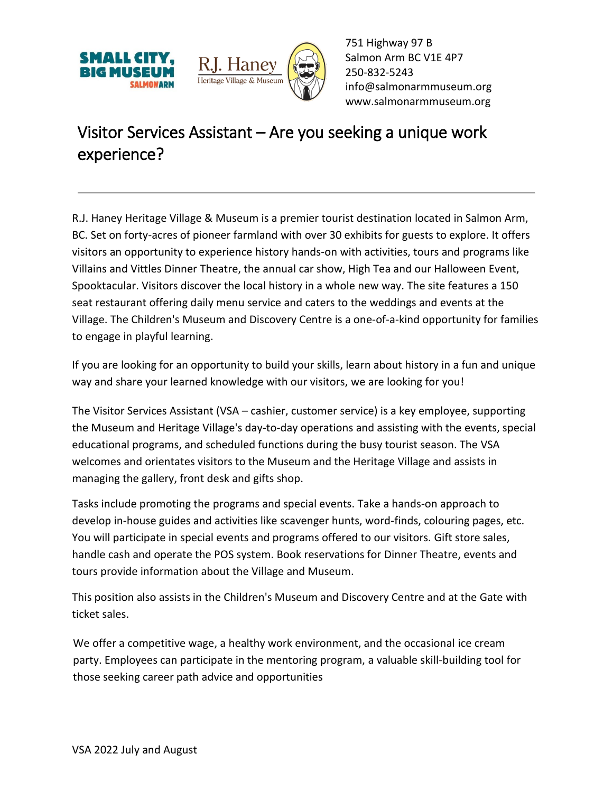



751 Highway 97 B Salmon Arm BC V1E 4P7 250-832-5243 [info@salmonarmmuseum.org](mailto:info@salmonarmmuseum.org) www.salmonarmmuseum.org

## Visitor Services Assistant – Are you seeking a unique work experience?

R.J. Haney Heritage Village & Museum is a premier tourist destination located in Salmon Arm, BC. Set on forty-acres of pioneer farmland with over 30 exhibits for guests to explore. It offers visitors an opportunity to experience history hands-on with activities, tours and programs like Villains and Vittles Dinner Theatre, the annual car show, High Tea and our Halloween Event, Spooktacular. Visitors discover the local history in a whole new way. The site features a 150 seat restaurant offering daily menu service and caters to the weddings and events at the Village. The Children's Museum and Discovery Centre is a one-of-a-kind opportunity for families to engage in playful learning.

If you are looking for an opportunity to build your skills, learn about history in a fun and unique way and share your learned knowledge with our visitors, we are looking for you!

The Visitor Services Assistant (VSA – cashier, customer service) is a key employee, supporting the Museum and Heritage Village's day-to-day operations and assisting with the events, special educational programs, and scheduled functions during the busy tourist season. The VSA welcomes and orientates visitors to the Museum and the Heritage Village and assists in managing the gallery, front desk and gifts shop.

Tasks include promoting the programs and special events. Take a hands-on approach to develop in-house guides and activities like scavenger hunts, word-finds, colouring pages, etc. You will participate in special events and programs offered to our visitors. Gift store sales, handle cash and operate the POS system. Book reservations for Dinner Theatre, events and tours provide information about the Village and Museum.

This position also assists in the Children's Museum and Discovery Centre and at the Gate with ticket sales.

We offer a competitive wage, a healthy work environment, and the occasional ice cream party. Employees can participate in the mentoring program, a valuable skill-building tool for those seeking career path advice and opportunities